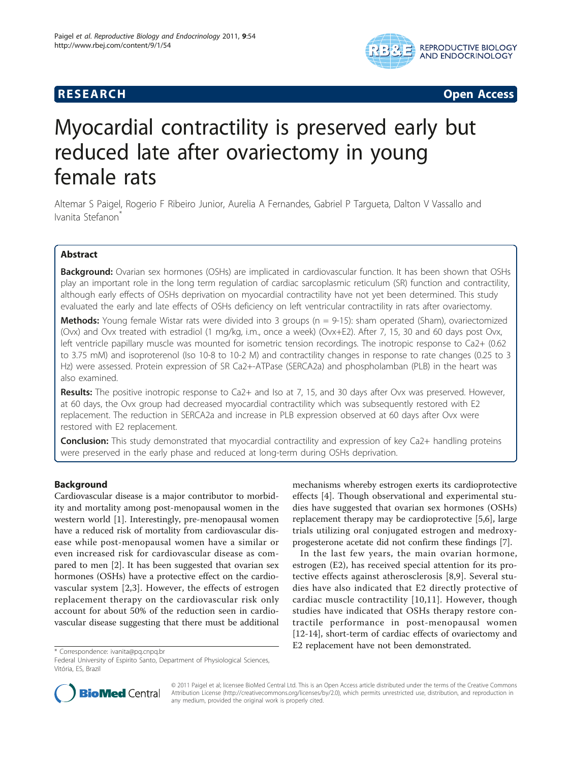



# Myocardial contractility is preserved early but reduced late after ovariectomy in young female rats

Altemar S Paigel, Rogerio F Ribeiro Junior, Aurelia A Fernandes, Gabriel P Targueta, Dalton V Vassallo and Ivanita Stefanon<sup>\*</sup>

# Abstract

Background: Ovarian sex hormones (OSHs) are implicated in cardiovascular function. It has been shown that OSHs play an important role in the long term regulation of cardiac sarcoplasmic reticulum (SR) function and contractility, although early effects of OSHs deprivation on myocardial contractility have not yet been determined. This study evaluated the early and late effects of OSHs deficiency on left ventricular contractility in rats after ovariectomy.

Methods: Young female Wistar rats were divided into 3 groups (n = 9-15): sham operated (Sham), ovariectomized (Ovx) and Ovx treated with estradiol (1 mg/kg, i.m., once a week) (Ovx+E2). After 7, 15, 30 and 60 days post Ovx, left ventricle papillary muscle was mounted for isometric tension recordings. The inotropic response to Ca2+ (0.62 to 3.75 mM) and isoproterenol (Iso 10-8 to 10-2 M) and contractility changes in response to rate changes (0.25 to 3 Hz) were assessed. Protein expression of SR Ca2+-ATPase (SERCA2a) and phospholamban (PLB) in the heart was also examined.

Results: The positive inotropic response to Ca2+ and Iso at 7, 15, and 30 days after Ovx was preserved. However, at 60 days, the Ovx group had decreased myocardial contractility which was subsequently restored with E2 replacement. The reduction in SERCA2a and increase in PLB expression observed at 60 days after Ovx were restored with E2 replacement.

**Conclusion:** This study demonstrated that myocardial contractility and expression of key Ca2+ handling proteins were preserved in the early phase and reduced at long-term during OSHs deprivation.

# Background

Cardiovascular disease is a major contributor to morbidity and mortality among post-menopausal women in the western world [[1\]](#page-8-0). Interestingly, pre-menopausal women have a reduced risk of mortality from cardiovascular disease while post-menopausal women have a similar or even increased risk for cardiovascular disease as compared to men [\[2\]](#page-8-0). It has been suggested that ovarian sex hormones (OSHs) have a protective effect on the cardiovascular system [[2](#page-8-0),[3\]](#page-8-0). However, the effects of estrogen replacement therapy on the cardiovascular risk only account for about 50% of the reduction seen in cardiovascular disease suggesting that there must be additional

mechanisms whereby estrogen exerts its cardioprotective effects [[4\]](#page-9-0). Though observational and experimental studies have suggested that ovarian sex hormones (OSHs) replacement therapy may be cardioprotective [\[5,6](#page-9-0)], large trials utilizing oral conjugated estrogen and medroxyprogesterone acetate did not confirm these findings [\[7](#page-9-0)].

In the last few years, the main ovarian hormone, estrogen (E2), has received special attention for its protective effects against atherosclerosis [[8,9](#page-9-0)]. Several studies have also indicated that E2 directly protective of cardiac muscle contractility [[10](#page-9-0),[11\]](#page-9-0). However, though studies have indicated that OSHs therapy restore contractile performance in post-menopausal women [[12-14\]](#page-9-0), short-term of cardiac effects of ovariectomy and E2 replacement have not been demonstrated. \* Correspondence: [ivanita@pq.cnpq.br](mailto:ivanita@pq.cnpq.br )

Federal University of Espirito Santo, Department of Physiological Sciences, Vitória, ES, Brazil



© 2011 Paigel et al; licensee BioMed Central Ltd. This is an Open Access article distributed under the terms of the Creative Commons Attribution License [\(http://creativecommons.org/licenses/by/2.0](http://creativecommons.org/licenses/by/2.0)), which permits unrestricted use, distribution, and reproduction in any medium, provided the original work is properly cited.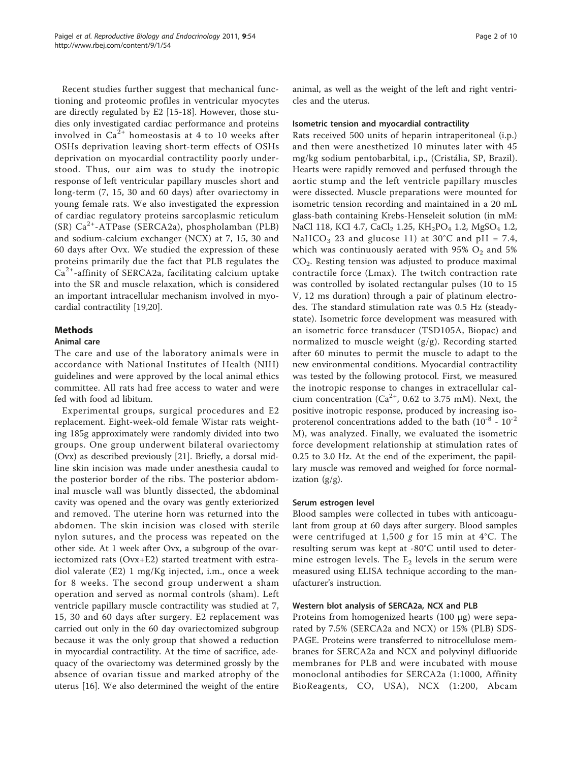Recent studies further suggest that mechanical functioning and proteomic profiles in ventricular myocytes are directly regulated by E2 [\[15](#page-9-0)-[18\]](#page-9-0). However, those studies only investigated cardiac performance and proteins involved in  $Ca^{2+}$  homeostasis at 4 to 10 weeks after OSHs deprivation leaving short-term effects of OSHs deprivation on myocardial contractility poorly understood. Thus, our aim was to study the inotropic response of left ventricular papillary muscles short and long-term (7, 15, 30 and 60 days) after ovariectomy in young female rats. We also investigated the expression of cardiac regulatory proteins sarcoplasmic reticulum (SR) Ca2+-ATPase (SERCA2a), phospholamban (PLB) and sodium-calcium exchanger (NCX) at 7, 15, 30 and 60 days after Ovx. We studied the expression of these proteins primarily due the fact that PLB regulates the  $Ca<sup>2+</sup>$ -affinity of SERCA2a, facilitating calcium uptake into the SR and muscle relaxation, which is considered an important intracellular mechanism involved in myocardial contractility [\[19,20\]](#page-9-0).

# Methods

### Animal care

The care and use of the laboratory animals were in accordance with National Institutes of Health (NIH) guidelines and were approved by the local animal ethics committee. All rats had free access to water and were fed with food ad libitum.

Experimental groups, surgical procedures and E2 replacement. Eight-week-old female Wistar rats weighting 185g approximately were randomly divided into two groups. One group underwent bilateral ovariectomy (Ovx) as described previously [[21\]](#page-9-0). Briefly, a dorsal midline skin incision was made under anesthesia caudal to the posterior border of the ribs. The posterior abdominal muscle wall was bluntly dissected, the abdominal cavity was opened and the ovary was gently exteriorized and removed. The uterine horn was returned into the abdomen. The skin incision was closed with sterile nylon sutures, and the process was repeated on the other side. At 1 week after Ovx, a subgroup of the ovariectomized rats (Ovx+E2) started treatment with estradiol valerate (E2) 1 mg/Kg injected, i.m., once a week for 8 weeks. The second group underwent a sham operation and served as normal controls (sham). Left ventricle papillary muscle contractility was studied at 7, 15, 30 and 60 days after surgery. E2 replacement was carried out only in the 60 day ovariectomized subgroup because it was the only group that showed a reduction in myocardial contractility. At the time of sacrifice, adequacy of the ovariectomy was determined grossly by the absence of ovarian tissue and marked atrophy of the uterus [[16](#page-9-0)]. We also determined the weight of the entire animal, as well as the weight of the left and right ventricles and the uterus.

#### Isometric tension and myocardial contractility

Rats received 500 units of heparin intraperitoneal (i.p.) and then were anesthetized 10 minutes later with 45 mg/kg sodium pentobarbital, i.p., (Cristália, SP, Brazil). Hearts were rapidly removed and perfused through the aortic stump and the left ventricle papillary muscles were dissected. Muscle preparations were mounted for isometric tension recording and maintained in a 20 mL glass-bath containing Krebs-Henseleit solution (in mM: NaCl 118, KCl 4.7, CaCl<sub>2</sub> 1.25, KH<sub>2</sub>PO<sub>4</sub> 1.2, MgSO<sub>4</sub> 1.2, NaHCO<sub>3</sub> 23 and glucose 11) at 30°C and pH = 7.4, which was continuously aerated with 95%  $O_2$  and 5% CO2. Resting tension was adjusted to produce maximal contractile force (Lmax). The twitch contraction rate was controlled by isolated rectangular pulses (10 to 15 V, 12 ms duration) through a pair of platinum electrodes. The standard stimulation rate was 0.5 Hz (steadystate). Isometric force development was measured with an isometric force transducer (TSD105A, Biopac) and normalized to muscle weight (g/g). Recording started after 60 minutes to permit the muscle to adapt to the new environmental conditions. Myocardial contractility was tested by the following protocol. First, we measured the inotropic response to changes in extracellular calcium concentration ( $Ca^{2+}$ , 0.62 to 3.75 mM). Next, the positive inotropic response, produced by increasing isoproterenol concentrations added to the bath  $(10^{-8} - 10^{-2}$ M), was analyzed. Finally, we evaluated the isometric force development relationship at stimulation rates of 0.25 to 3.0 Hz. At the end of the experiment, the papillary muscle was removed and weighed for force normalization (g/g).

#### Serum estrogen level

Blood samples were collected in tubes with anticoagulant from group at 60 days after surgery. Blood samples were centrifuged at 1,500 g for 15 min at  $4^{\circ}$ C. The resulting serum was kept at -80°C until used to determine estrogen levels. The  $E_2$  levels in the serum were measured using ELISA technique according to the manufacturer's instruction.

# Western blot analysis of SERCA2a, NCX and PLB

Proteins from homogenized hearts (100 μg) were separated by 7.5% (SERCA2a and NCX) or 15% (PLB) SDS-PAGE. Proteins were transferred to nitrocellulose membranes for SERCA2a and NCX and polyvinyl difluoride membranes for PLB and were incubated with mouse monoclonal antibodies for SERCA2a (1:1000, Affinity BioReagents, CO, USA), NCX (1:200, Abcam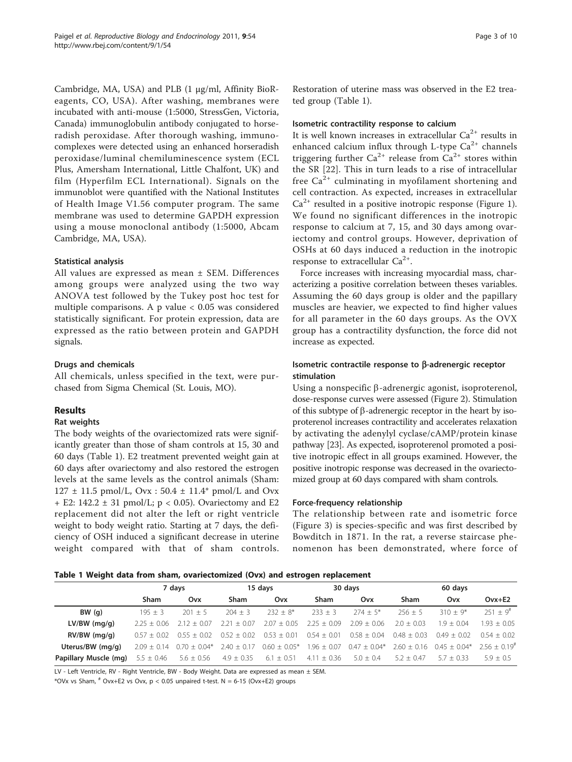Cambridge, MA, USA) and PLB (1 μg/ml, Affinity BioReagents, CO, USA). After washing, membranes were incubated with anti-mouse (1:5000, StressGen, Victoria, Canada) immunoglobulin antibody conjugated to horseradish peroxidase. After thorough washing, immunocomplexes were detected using an enhanced horseradish peroxidase/luminal chemiluminescence system (ECL Plus, Amersham International, Little Chalfont, UK) and film (Hyperfilm ECL International). Signals on the immunoblot were quantified with the National Institutes of Health Image V1.56 computer program. The same membrane was used to determine GAPDH expression using a mouse monoclonal antibody (1:5000, Abcam Cambridge, MA, USA).

# Statistical analysis

All values are expressed as mean ± SEM. Differences among groups were analyzed using the two way ANOVA test followed by the Tukey post hoc test for multiple comparisons. A p value  $< 0.05$  was considered statistically significant. For protein expression, data are expressed as the ratio between protein and GAPDH signals.

# Drugs and chemicals

All chemicals, unless specified in the text, were purchased from Sigma Chemical (St. Louis, MO).

# Results

#### Rat weights

The body weights of the ovariectomized rats were significantly greater than those of sham controls at 15, 30 and 60 days (Table 1). E2 treatment prevented weight gain at 60 days after ovariectomy and also restored the estrogen levels at the same levels as the control animals (Sham: 127 ± 11.5 pmol/L, Ovx : 50.4 ± 11.4\* pmol/L and Ovx + E2: 142.2 ± 31 pmol/L; p < 0.05). Ovariectomy and E2 replacement did not alter the left or right ventricle weight to body weight ratio. Starting at 7 days, the deficiency of OSH induced a significant decrease in uterine weight compared with that of sham controls.

Restoration of uterine mass was observed in the E2 treated group (Table 1).

#### Isometric contractility response to calcium

It is well known increases in extracellular  $Ca^{2+}$  results in enhanced calcium influx through L-type  $Ca^{2+}$  channels triggering further  $Ca^{2+}$  release from  $Ca^{2+}$  stores within the SR [\[22](#page-9-0)]. This in turn leads to a rise of intracellular free  $Ca^{2+}$  culminating in myofilament shortening and cell contraction. As expected, increases in extracellular  $Ca<sup>2+</sup>$  resulted in a positive inotropic response (Figure [1](#page-3-0)). We found no significant differences in the inotropic response to calcium at 7, 15, and 30 days among ovariectomy and control groups. However, deprivation of OSHs at 60 days induced a reduction in the inotropic response to extracellular  $Ca^{2+}$ .

Force increases with increasing myocardial mass, characterizing a positive correlation between theses variables. Assuming the 60 days group is older and the papillary muscles are heavier, we expected to find higher values for all parameter in the 60 days groups. As the OVX group has a contractility dysfunction, the force did not increase as expected.

# Isometric contractile response to  $\beta$ -adrenergic receptor stimulation

Using a nonspecific  $\beta$ -adrenergic agonist, isoproterenol, dose-response curves were assessed (Figure [2](#page-3-0)). Stimulation of this subtype of  $\beta$ -adrenergic receptor in the heart by isoproterenol increases contractility and accelerates relaxation by activating the adenylyl cyclase/cAMP/protein kinase pathway [[23](#page-9-0)]. As expected, isoproterenol promoted a positive inotropic effect in all groups examined. However, the positive inotropic response was decreased in the ovariectomized group at 60 days compared with sham controls.

# Force-frequency relationship

The relationship between rate and isometric force (Figure [3](#page-4-0)) is species-specific and was first described by Bowditch in 1871. In the rat, a reverse staircase phenomenon has been demonstrated, where force of

|  |  |  | Table 1 Weight data from sham, ovariectomized (Ovx) and estrogen replacement |  |  |  |
|--|--|--|------------------------------------------------------------------------------|--|--|--|
|--|--|--|------------------------------------------------------------------------------|--|--|--|

|                       | 7 days         |                              | 15 days        |                  | 30 days         |                | 60 days       |                                    |                            |  |
|-----------------------|----------------|------------------------------|----------------|------------------|-----------------|----------------|---------------|------------------------------------|----------------------------|--|
|                       | Sham           | Ovx                          | Sham           | Ovx              | Sham            | Ovx            | Sham          | Ovx                                | $Ovx + E2$                 |  |
| BW(q)                 | $195 + 3$      | $201 + 5$                    | $204 + 3$      | $232 + 8*$       | $233 + 3$       | $274 + 5*$     | $256 + 5$     | $310 + 9*$                         | $251 + 9$ <sup>#</sup>     |  |
| $LV/BW$ (mg/g)        | $2.25 + 0.06$  | $212 + 007$                  | $2.21 + 0.07$  | $2.07 + 0.05$    | $2.25 + 0.09$   | $2.09 + 0.06$  | $20 + 003$    | $1.9 + 0.04$                       | $193 + 005$                |  |
| $RV/BW$ (mg/g)        | $0.57 + 0.02$  | $0.55 + 0.02$                | $0.52 + 0.02$  | $0.53 + 0.01$    | $0.54 + 0.01$   | $0.58 + 0.04$  | $0.48 + 0.03$ | $0.49 + 0.02$                      | $0.54 + 0.02$              |  |
| Uterus/BW (mg/g)      |                | $2.09 + 0.14$ $0.70 + 0.04*$ | $2.40 + 0.17$  | $0.60 \pm 0.05*$ | $1.96 + 0.07$   | $0.47 + 0.04*$ |               | $260 + 016$ 045 + 004 <sup>*</sup> | $2.56 + 0.19$ <sup>#</sup> |  |
| Papillary Muscle (mg) | $5.5 \pm 0.46$ | $5.6 \pm 0.56$               | $4.9 \pm 0.35$ | $6.1 \pm 0.51$   | $4.11 \pm 0.36$ | $5.0 + 0.4$    | $5.2 + 0.47$  | $57 + 033$                         | $5.9 + 0.5$                |  |

LV - Left Ventricle, RV - Right Ventricle, BW - Body Weight. Data are expressed as mean ± SEM.

 $*$ OVx vs Sham,  $*$  Ovx+E2 vs Ovx, p < 0.05 unpaired t-test. N = 6-15 (Ovx+E2) groups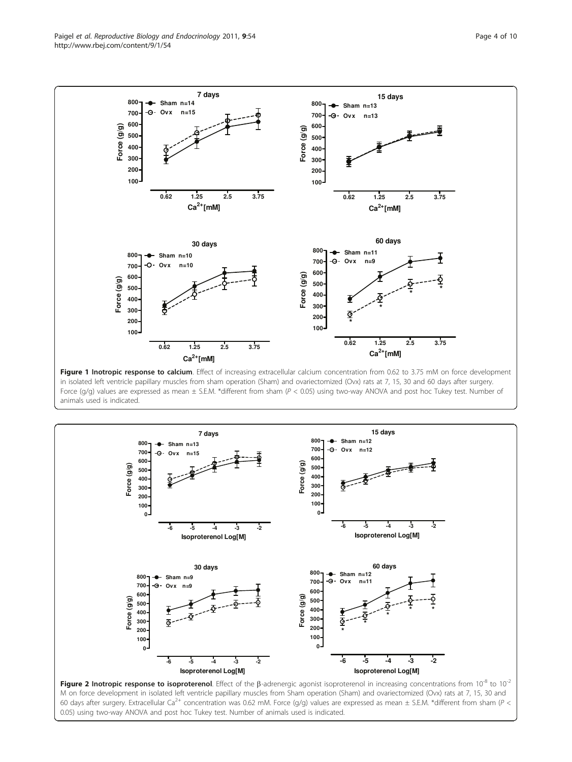<span id="page-3-0"></span>

in isolated left ventricle papillary muscles from sham operation (Sham) and ovariectomized (Ovx) rats at 7, 15, 30 and 60 days after surgery. Force  $(q/q)$  values are expressed as mean  $\pm$  S.E.M. \*different from sham ( $P < 0.05$ ) using two-way ANOVA and post hoc Tukey test. Number of animals used is indicated.



60 days after surgery. Extracellular Ca<sup>2+</sup> concentration was 0.62 mM. Force (g/g) values are expressed as mean  $\pm$  S.E.M. \*different from sham (P < 0.05) using two-way ANOVA and post hoc Tukey test. Number of animals used is indicated.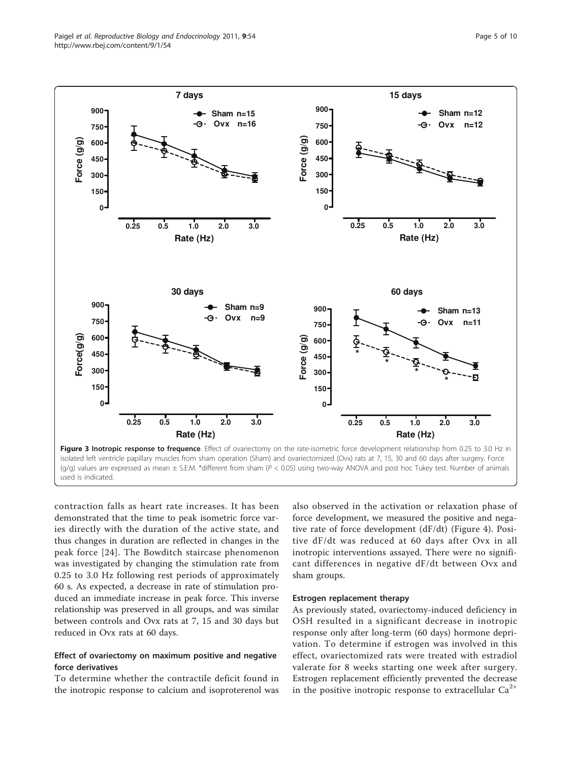<span id="page-4-0"></span>

isolated left ventricle papillary muscles from sham operation (Sham) and ovariectomized (Ovx) rats at 7, 15, 30 and 60 days after surgery. Force  $(q/q)$  values are expressed as mean  $\pm$  S.E.M. \*different from sham ( $P < 0.05$ ) using two-way ANOVA and post hoc Tukey test. Number of animals used is indicated.

contraction falls as heart rate increases. It has been demonstrated that the time to peak isometric force varies directly with the duration of the active state, and thus changes in duration are reflected in changes in the peak force [[24](#page-9-0)]. The Bowditch staircase phenomenon was investigated by changing the stimulation rate from 0.25 to 3.0 Hz following rest periods of approximately 60 s. As expected, a decrease in rate of stimulation produced an immediate increase in peak force. This inverse relationship was preserved in all groups, and was similar between controls and Ovx rats at 7, 15 and 30 days but reduced in Ovx rats at 60 days.

# Effect of ovariectomy on maximum positive and negative force derivatives

To determine whether the contractile deficit found in the inotropic response to calcium and isoproterenol was

also observed in the activation or relaxation phase of force development, we measured the positive and negative rate of force development (dF/dt) (Figure [4](#page-5-0)). Positive dF/dt was reduced at 60 days after Ovx in all inotropic interventions assayed. There were no significant differences in negative dF/dt between Ovx and sham groups.

#### Estrogen replacement therapy

As previously stated, ovariectomy-induced deficiency in OSH resulted in a significant decrease in inotropic response only after long-term (60 days) hormone deprivation. To determine if estrogen was involved in this effect, ovariectomized rats were treated with estradiol valerate for 8 weeks starting one week after surgery. Estrogen replacement efficiently prevented the decrease in the positive inotropic response to extracellular  $Ca^{2+}$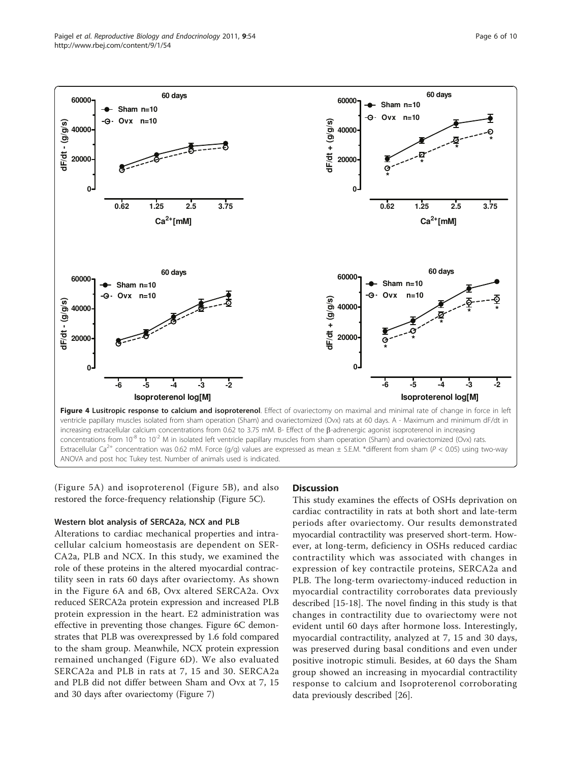<span id="page-5-0"></span>

(Figure [5A](#page-6-0)) and isoproterenol (Figure [5B](#page-6-0)), and also restored the force-frequency relationship (Figure [5C\)](#page-6-0).

# Western blot analysis of SERCA2a, NCX and PLB

Alterations to cardiac mechanical properties and intracellular calcium homeostasis are dependent on SER-CA2a, PLB and NCX. In this study, we examined the role of these proteins in the altered myocardial contractility seen in rats 60 days after ovariectomy. As shown in the Figure [6A](#page-7-0) and [6B](#page-7-0), Ovx altered SERCA2a. Ovx reduced SERCA2a protein expression and increased PLB protein expression in the heart. E2 administration was effective in preventing those changes. Figure [6C](#page-7-0) demonstrates that PLB was overexpressed by 1.6 fold compared to the sham group. Meanwhile, NCX protein expression remained unchanged (Figure [6D](#page-7-0)). We also evaluated SERCA2a and PLB in rats at 7, 15 and 30. SERCA2a and PLB did not differ between Sham and Ovx at 7, 15 and 30 days after ovariectomy (Figure [7](#page-8-0))

#### **Discussion**

This study examines the effects of OSHs deprivation on cardiac contractility in rats at both short and late-term periods after ovariectomy. Our results demonstrated myocardial contractility was preserved short-term. However, at long-term, deficiency in OSHs reduced cardiac contractility which was associated with changes in expression of key contractile proteins, SERCA2a and PLB. The long-term ovariectomy-induced reduction in myocardial contractility corroborates data previously described [[15-18\]](#page-9-0). The novel finding in this study is that changes in contractility due to ovariectomy were not evident until 60 days after hormone loss. Interestingly, myocardial contractility, analyzed at 7, 15 and 30 days, was preserved during basal conditions and even under positive inotropic stimuli. Besides, at 60 days the Sham group showed an increasing in myocardial contractility response to calcium and Isoproterenol corroborating data previously described [[26](#page-9-0)].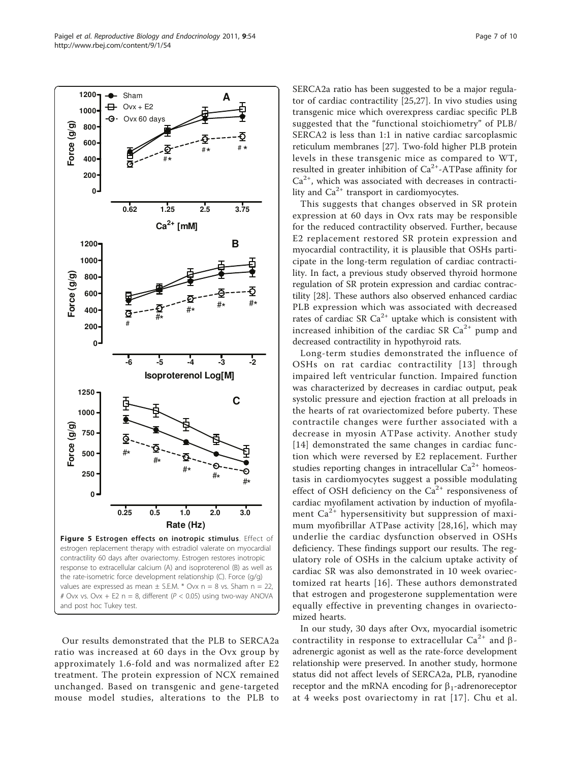<span id="page-6-0"></span>

Our results demonstrated that the PLB to SERCA2a ratio was increased at 60 days in the Ovx group by approximately 1.6-fold and was normalized after E2 treatment. The protein expression of NCX remained unchanged. Based on transgenic and gene-targeted mouse model studies, alterations to the PLB to SERCA2a ratio has been suggested to be a major regulator of cardiac contractility [[25,27](#page-9-0)]. In vivo studies using transgenic mice which overexpress cardiac specific PLB suggested that the "functional stoichiometry" of PLB/ SERCA2 is less than 1:1 in native cardiac sarcoplasmic reticulum membranes [[27\]](#page-9-0). Two-fold higher PLB protein levels in these transgenic mice as compared to WT, resulted in greater inhibition of  $Ca^{2+}$ -ATPase affinity for  $Ca<sup>2+</sup>$ , which was associated with decreases in contractility and  $Ca^{2+}$  transport in cardiomyocytes.

This suggests that changes observed in SR protein expression at 60 days in Ovx rats may be responsible for the reduced contractility observed. Further, because E2 replacement restored SR protein expression and myocardial contractility, it is plausible that OSHs participate in the long-term regulation of cardiac contractility. In fact, a previous study observed thyroid hormone regulation of SR protein expression and cardiac contractility [\[28](#page-9-0)]. These authors also observed enhanced cardiac PLB expression which was associated with decreased rates of cardiac SR  $Ca^{2+}$  uptake which is consistent with increased inhibition of the cardiac SR  $Ca<sup>2+</sup>$  pump and decreased contractility in hypothyroid rats.

Long-term studies demonstrated the influence of OSHs on rat cardiac contractility [[13](#page-9-0)] through impaired left ventricular function. Impaired function was characterized by decreases in cardiac output, peak systolic pressure and ejection fraction at all preloads in the hearts of rat ovariectomized before puberty. These contractile changes were further associated with a decrease in myosin ATPase activity. Another study [[14\]](#page-9-0) demonstrated the same changes in cardiac function which were reversed by E2 replacement. Further studies reporting changes in intracellular  $Ca^{2+}$  homeostasis in cardiomyocytes suggest a possible modulating effect of OSH deficiency on the  $Ca<sup>2+</sup>$  responsiveness of cardiac myofilament activation by induction of myofilament  $Ca^{2+}$  hypersensitivity but suppression of maximum myofibrillar ATPase activity [[28,16\]](#page-9-0), which may underlie the cardiac dysfunction observed in OSHs deficiency. These findings support our results. The regulatory role of OSHs in the calcium uptake activity of cardiac SR was also demonstrated in 10 week ovariectomized rat hearts [[16](#page-9-0)]. These authors demonstrated that estrogen and progesterone supplementation were equally effective in preventing changes in ovariectomized hearts.

In our study, 30 days after Ovx, myocardial isometric contractility in response to extracellular  $Ca^{2+}$  and  $\beta$ adrenergic agonist as well as the rate-force development relationship were preserved. In another study, hormone status did not affect levels of SERCA2a, PLB, ryanodine receptor and the mRNA encoding for  $\beta_1$ -adrenoreceptor at 4 weeks post ovariectomy in rat [[17](#page-9-0)]. Chu et al.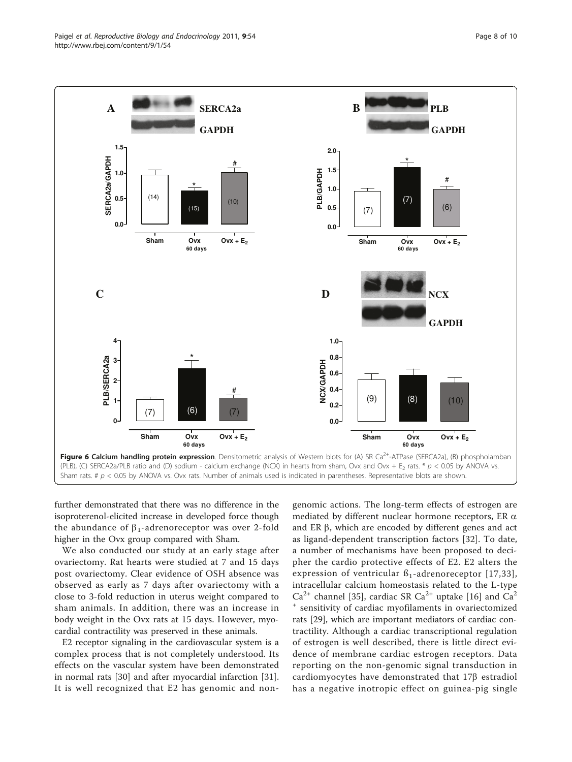<span id="page-7-0"></span>

further demonstrated that there was no difference in the isoproterenol-elicited increase in developed force though the abundance of  $\beta_1$ -adrenoreceptor was over 2-fold higher in the Ovx group compared with Sham.

We also conducted our study at an early stage after ovariectomy. Rat hearts were studied at 7 and 15 days post ovariectomy. Clear evidence of OSH absence was observed as early as 7 days after ovariectomy with a close to 3-fold reduction in uterus weight compared to sham animals. In addition, there was an increase in body weight in the Ovx rats at 15 days. However, myocardial contractility was preserved in these animals.

E2 receptor signaling in the cardiovascular system is a complex process that is not completely understood. Its effects on the vascular system have been demonstrated in normal rats [[30\]](#page-9-0) and after myocardial infarction [\[31](#page-9-0)]. It is well recognized that E2 has genomic and non-

genomic actions. The long-term effects of estrogen are mediated by different nuclear hormone receptors, ER  $\alpha$ and ER  $\beta$ , which are encoded by different genes and act as ligand-dependent transcription factors [[32\]](#page-9-0). To date, a number of mechanisms have been proposed to decipher the cardio protective effects of E2. E2 alters the expression of ventricular  $\beta_1$ -adrenoreceptor [[17,33\]](#page-9-0), intracellular calcium homeostasis related to the L-type  $Ca^{2+}$  channel [\[35\]](#page-9-0), cardiac SR  $Ca^{2+}$  uptake [[16\]](#page-9-0) and  $Ca^{2}$ sensitivity of cardiac myofilaments in ovariectomized rats [\[29](#page-9-0)], which are important mediators of cardiac contractility. Although a cardiac transcriptional regulation of estrogen is well described, there is little direct evidence of membrane cardiac estrogen receptors. Data reporting on the non-genomic signal transduction in cardiomyocytes have demonstrated that 17b estradiol has a negative inotropic effect on guinea-pig single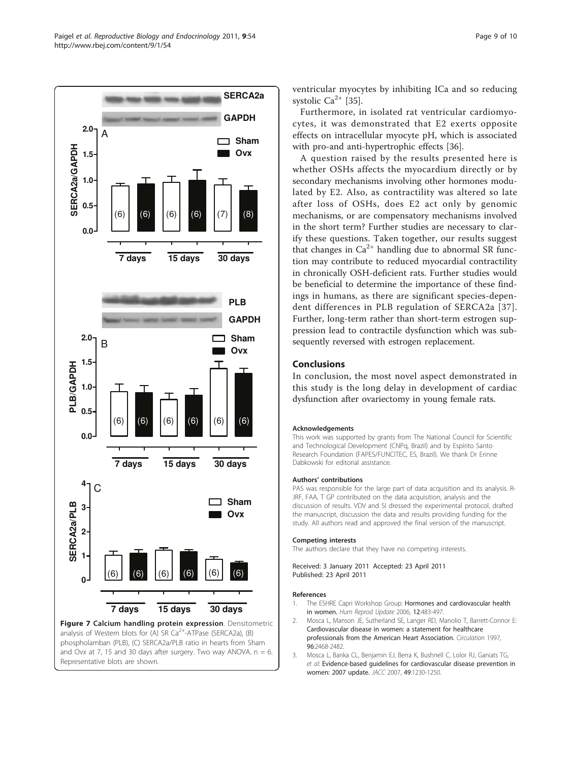<span id="page-8-0"></span>

phospholamban (PLB), (C) SERCA2a/PLB ratio in hearts from Sham and Ovx at 7, 15 and 30 days after surgery. Two way ANOVA.  $n = 6$ . Representative blots are shown.

ventricular myocytes by inhibiting ICa and so reducing systolic  $Ca^{2+}$  [[35\]](#page-9-0).

Furthermore, in isolated rat ventricular cardiomyocytes, it was demonstrated that E2 exerts opposite effects on intracellular myocyte pH, which is associated with pro-and anti-hypertrophic effects [\[36\]](#page-9-0).

A question raised by the results presented here is whether OSHs affects the myocardium directly or by secondary mechanisms involving other hormones modulated by E2. Also, as contractility was altered so late after loss of OSHs, does E2 act only by genomic mechanisms, or are compensatory mechanisms involved in the short term? Further studies are necessary to clarify these questions. Taken together, our results suggest that changes in  $Ca^{2+}$  handling due to abnormal SR function may contribute to reduced myocardial contractility in chronically OSH-deficient rats. Further studies would be beneficial to determine the importance of these findings in humans, as there are significant species-dependent differences in PLB regulation of SERCA2a [\[37\]](#page-9-0). Further, long-term rather than short-term estrogen suppression lead to contractile dysfunction which was subsequently reversed with estrogen replacement.

# Conclusions

In conclusion, the most novel aspect demonstrated in this study is the long delay in development of cardiac dysfunction after ovariectomy in young female rats.

#### Acknowledgements

This work was supported by grants from The National Council for Scientific and Technological Development (CNPq, Brazil) and by Espírito Santo Research Foundation (FAPES/FUNCITEC, ES, Brazil). We thank Dr Erinne Dabkowski for editorial assistance.

#### Authors' contributions

PAS was responsible for the large part of data acquisition and its analysis. R-JRF, FAA, T GP contributed on the data acquisition, analysis and the discussion of results. VDV and SI dressed the experimental protocol, drafted the manuscript, discussion the data and results providing funding for the study. All authors read and approved the final version of the manuscript.

#### Competing interests

The authors declare that they have no competing interests.

Received: 3 January 2011 Accepted: 23 April 2011 Published: 23 April 2011

#### References

- 1. The ESHRE Capri Workshop Group: [Hormones and cardiovascular health](http://www.ncbi.nlm.nih.gov/pubmed/16807276?dopt=Abstract) [in women.](http://www.ncbi.nlm.nih.gov/pubmed/16807276?dopt=Abstract) Hum Reprod Update 2006, 12:483-497.
- 2. Mosca L, Manson JE, Sutherland SE, Langer RD, Manolio T, Barrett-Connor E: [Cardiovascular disease in women: a statement for healthcare](http://www.ncbi.nlm.nih.gov/pubmed/9337227?dopt=Abstract) [professionals from the American Heart Association.](http://www.ncbi.nlm.nih.gov/pubmed/9337227?dopt=Abstract) Circulation 1997, 96:2468-2482.
- 3. Mosca L, Banka CL, Benjamin EJ, Berra K, Bushnell C, Lolor RJ, Ganiats TG, et al: [Evidence-based guidelines for cardiovascular disease prevention in](http://www.ncbi.nlm.nih.gov/pubmed/17367675?dopt=Abstract) [women: 2007 update.](http://www.ncbi.nlm.nih.gov/pubmed/17367675?dopt=Abstract) JACC 2007, 49:1230-1250.